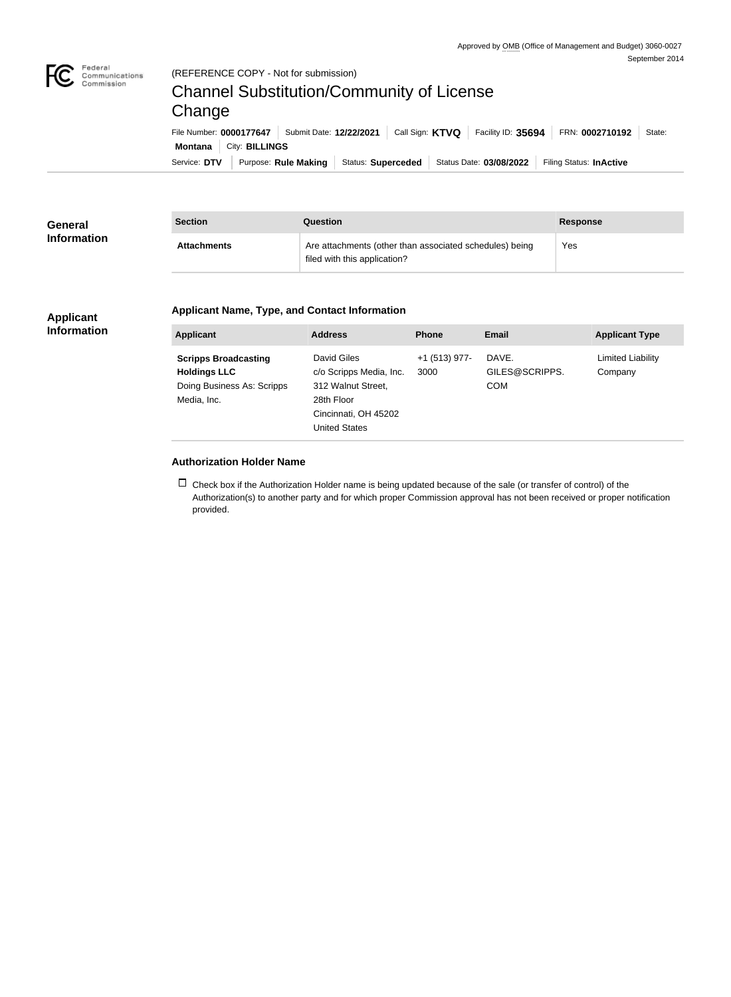

#### (REFERENCE COPY - Not for submission)

# Channel Substitution/Community of License Change

Service: DTV | Purpose: Rule Making | Status: Superceded | Status Date: 03/08/2022 | Filing Status: InActive **Montana** City: **BILLINGS** File Number: **0000177647** Submit Date: **12/22/2021** Call Sign: **KTVQ** Facility ID: **35694** FRN: **0002710192** State:

| General            | <b>Section</b>     | <b>Question</b>                                                                         | <b>Response</b> |
|--------------------|--------------------|-----------------------------------------------------------------------------------------|-----------------|
| <b>Information</b> | <b>Attachments</b> | Are attachments (other than associated schedules) being<br>filed with this application? | Yes             |

## **Applicant Information**

## **Applicant Name, Type, and Contact Information**

| <b>Applicant</b>                                                                                | <b>Address</b>                                                                                                             | <b>Phone</b>            | Email                                 | <b>Applicant Type</b>               |
|-------------------------------------------------------------------------------------------------|----------------------------------------------------------------------------------------------------------------------------|-------------------------|---------------------------------------|-------------------------------------|
| <b>Scripps Broadcasting</b><br><b>Holdings LLC</b><br>Doing Business As: Scripps<br>Media, Inc. | David Giles<br>c/o Scripps Media, Inc.<br>312 Walnut Street,<br>28th Floor<br>Cincinnati, OH 45202<br><b>United States</b> | $+1$ (513) 977-<br>3000 | DAVE.<br>GILES@SCRIPPS.<br><b>COM</b> | <b>Limited Liability</b><br>Company |

#### **Authorization Holder Name**

 $\Box$  Check box if the Authorization Holder name is being updated because of the sale (or transfer of control) of the Authorization(s) to another party and for which proper Commission approval has not been received or proper notification provided.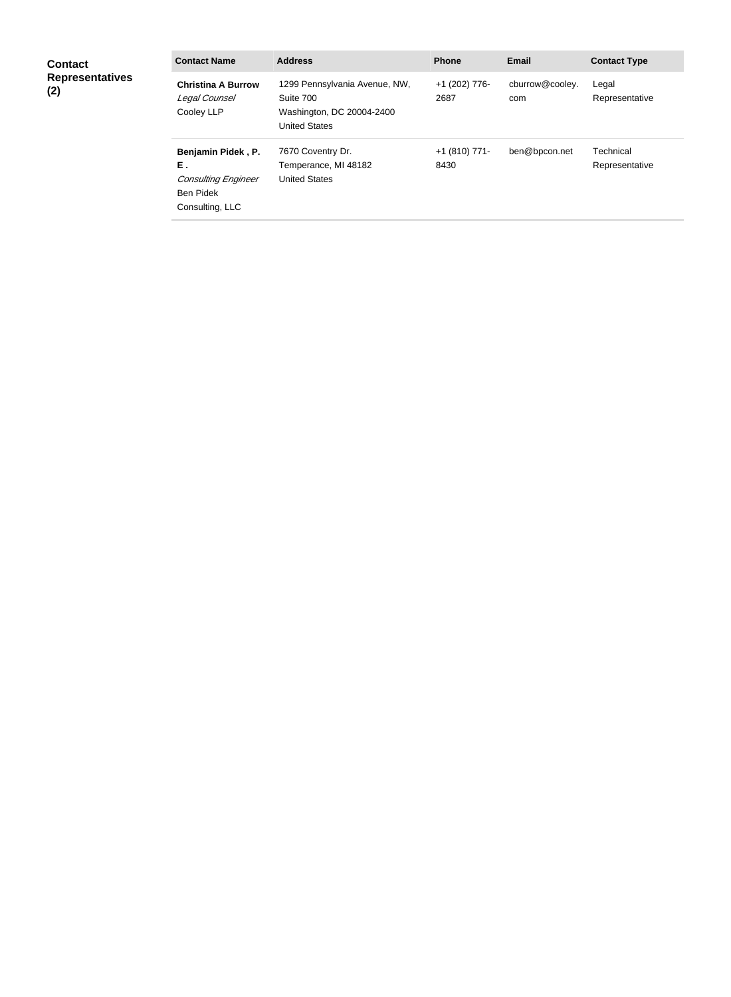| <b>Contact</b><br><b>Representatives</b><br>(2) | <b>Contact Name</b>                                                                           | <b>Address</b>                                                                                  | <b>Phone</b>          | <b>Email</b>           | <b>Contact Type</b>         |
|-------------------------------------------------|-----------------------------------------------------------------------------------------------|-------------------------------------------------------------------------------------------------|-----------------------|------------------------|-----------------------------|
|                                                 | <b>Christina A Burrow</b><br>Legal Counsel<br>Cooley LLP                                      | 1299 Pennsylvania Avenue, NW,<br>Suite 700<br>Washington, DC 20004-2400<br><b>United States</b> | +1 (202) 776-<br>2687 | cburrow@cooley.<br>com | Legal<br>Representative     |
|                                                 | Benjamin Pidek, P.<br>Ε.<br><b>Consulting Engineer</b><br><b>Ben Pidek</b><br>Consulting, LLC | 7670 Coventry Dr.<br>Temperance, MI 48182<br><b>United States</b>                               | +1 (810) 771-<br>8430 | ben@bpcon.net          | Technical<br>Representative |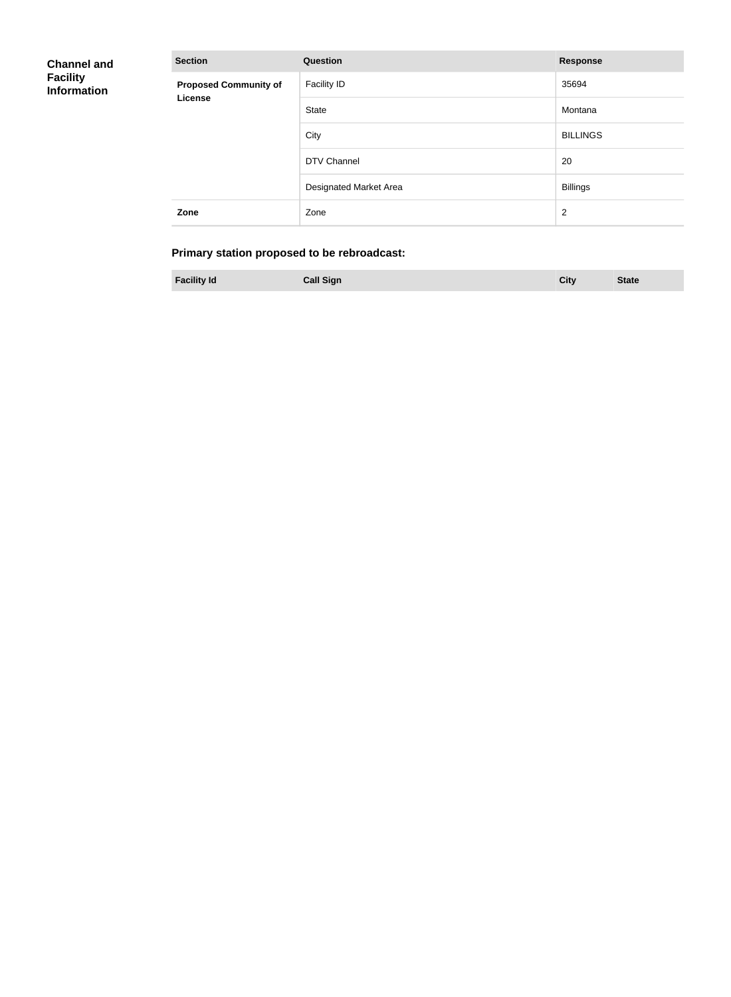| <b>Channel and</b><br><b>Facility</b><br><b>Information</b> | <b>Section</b>               | <b>Question</b>        | <b>Response</b> |
|-------------------------------------------------------------|------------------------------|------------------------|-----------------|
|                                                             | <b>Proposed Community of</b> | Facility ID            | 35694           |
|                                                             | License                      | State                  | Montana         |
|                                                             |                              | City                   | <b>BILLINGS</b> |
|                                                             |                              | <b>DTV Channel</b>     | 20              |
|                                                             |                              | Designated Market Area | <b>Billings</b> |
|                                                             | Zone                         | Zone                   | $\overline{2}$  |

# **Primary station proposed to be rebroadcast:**

| <b>Facility Id</b><br><b>Call Sign</b><br><b>State</b><br>City |
|----------------------------------------------------------------|
|----------------------------------------------------------------|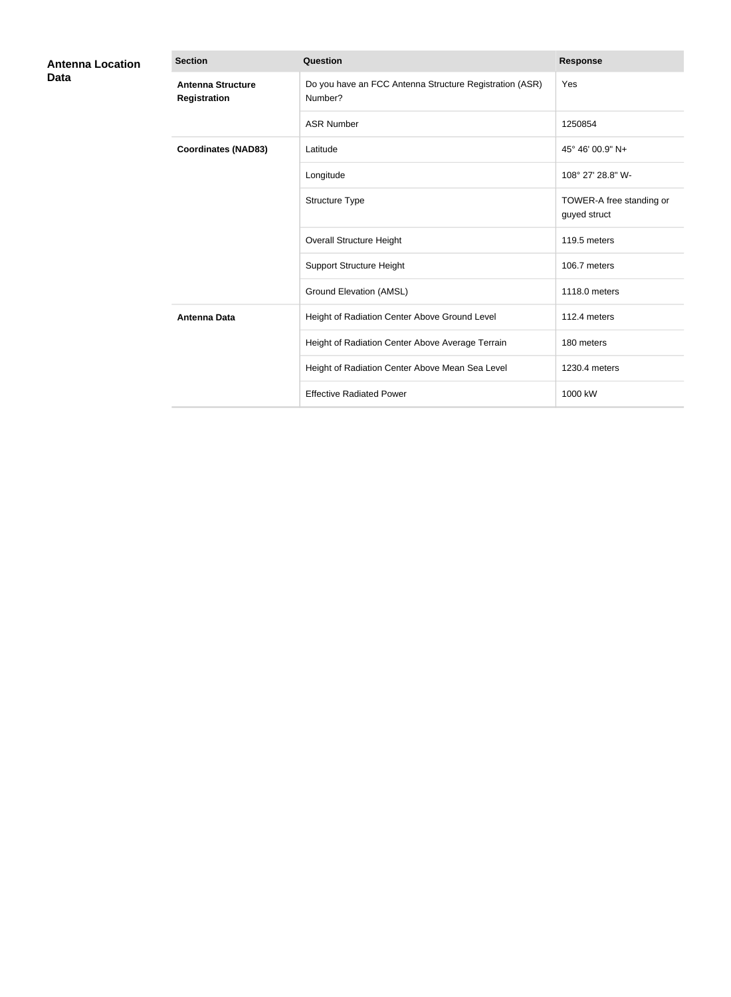| <b>Antenna Location</b><br>Data | <b>Section</b>                                  | Question                                                           | <b>Response</b>                          |
|---------------------------------|-------------------------------------------------|--------------------------------------------------------------------|------------------------------------------|
|                                 | <b>Antenna Structure</b><br><b>Registration</b> | Do you have an FCC Antenna Structure Registration (ASR)<br>Number? | Yes                                      |
|                                 |                                                 | <b>ASR Number</b>                                                  | 1250854                                  |
|                                 | <b>Coordinates (NAD83)</b>                      | Latitude                                                           | 45° 46' 00.9" N+                         |
|                                 |                                                 | Longitude                                                          | 108° 27' 28.8" W-                        |
|                                 |                                                 | Structure Type                                                     | TOWER-A free standing or<br>guyed struct |
|                                 |                                                 | <b>Overall Structure Height</b>                                    | 119.5 meters                             |
|                                 |                                                 | <b>Support Structure Height</b>                                    | 106.7 meters                             |
|                                 |                                                 | <b>Ground Elevation (AMSL)</b>                                     | 1118.0 meters                            |
|                                 | <b>Antenna Data</b>                             | Height of Radiation Center Above Ground Level                      | 112.4 meters                             |
|                                 |                                                 | Height of Radiation Center Above Average Terrain                   | 180 meters                               |
|                                 |                                                 | Height of Radiation Center Above Mean Sea Level                    | 1230.4 meters                            |
|                                 |                                                 | <b>Effective Radiated Power</b>                                    | 1000 kW                                  |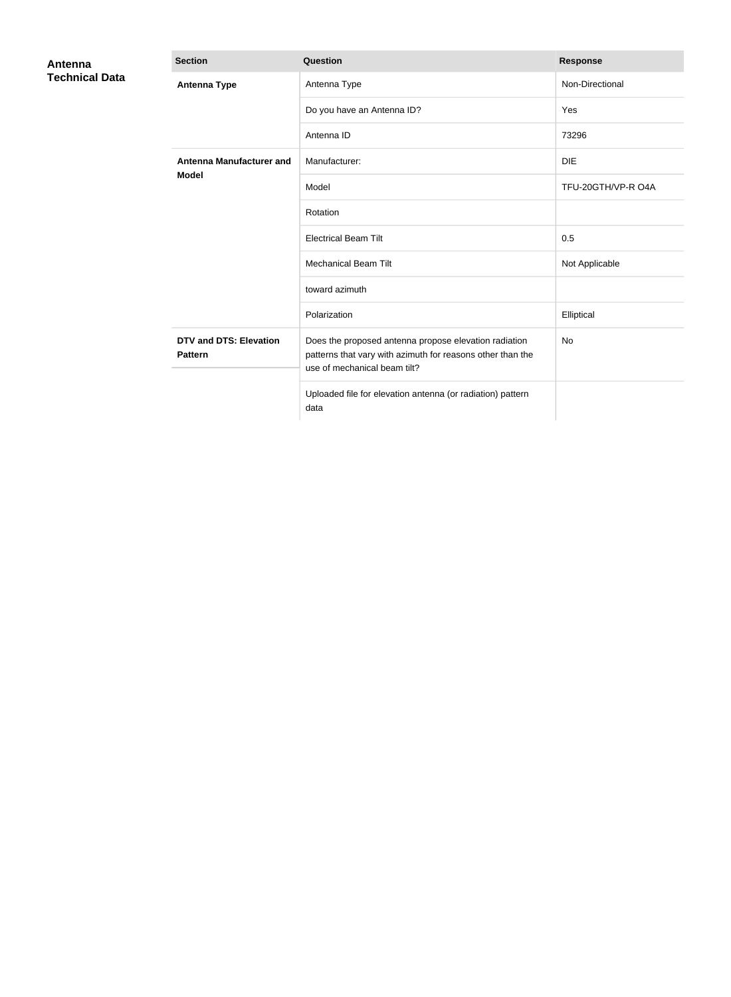| Antenna               | <b>Section</b>                                  | Question                                                                                                                                            | <b>Response</b>    |
|-----------------------|-------------------------------------------------|-----------------------------------------------------------------------------------------------------------------------------------------------------|--------------------|
| <b>Technical Data</b> | <b>Antenna Type</b>                             | Antenna Type                                                                                                                                        | Non-Directional    |
|                       |                                                 | Do you have an Antenna ID?                                                                                                                          | Yes                |
|                       |                                                 | Antenna ID                                                                                                                                          | 73296              |
|                       | <b>Antenna Manufacturer and</b><br><b>Model</b> | Manufacturer:                                                                                                                                       | <b>DIE</b>         |
|                       |                                                 | Model                                                                                                                                               | TFU-20GTH/VP-R O4A |
|                       |                                                 | Rotation                                                                                                                                            |                    |
|                       |                                                 | <b>Electrical Beam Tilt</b>                                                                                                                         | 0.5                |
|                       |                                                 | <b>Mechanical Beam Tilt</b>                                                                                                                         | Not Applicable     |
|                       |                                                 | toward azimuth                                                                                                                                      |                    |
|                       |                                                 | Polarization                                                                                                                                        | Elliptical         |
|                       | <b>DTV and DTS: Elevation</b><br><b>Pattern</b> | Does the proposed antenna propose elevation radiation<br>patterns that vary with azimuth for reasons other than the<br>use of mechanical beam tilt? | <b>No</b>          |
|                       |                                                 | Uploaded file for elevation antenna (or radiation) pattern<br>data                                                                                  |                    |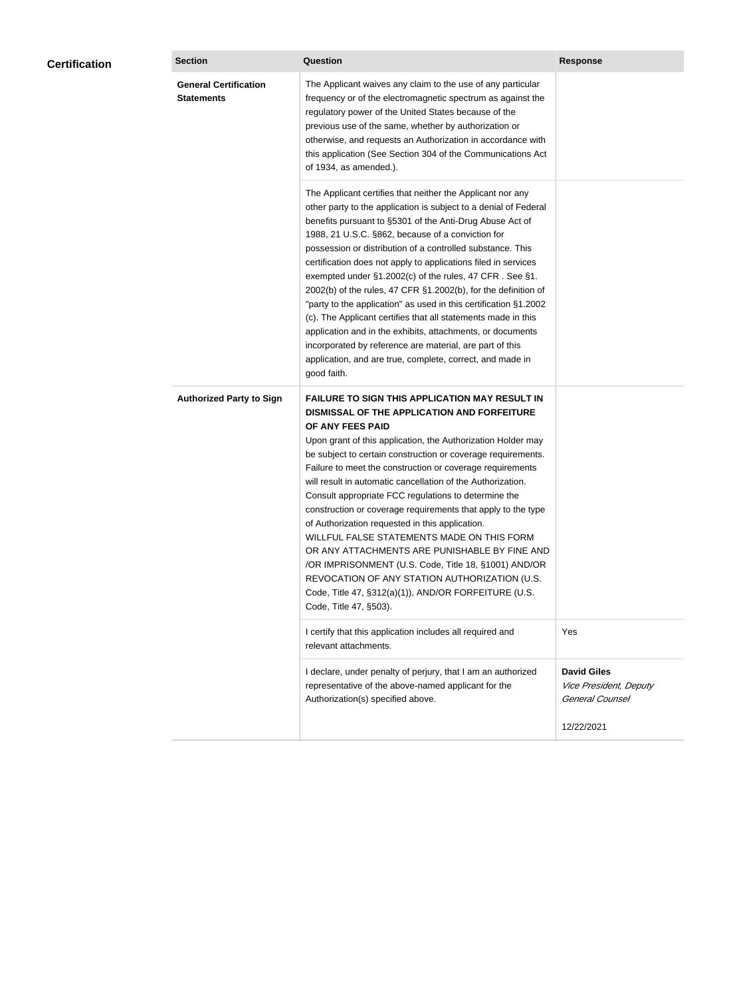| <b>Certification</b> | <b>Section</b>                                    | <b>Question</b>                                                                                                                                                                                                                                                                                                                                                                                                                                                                                                                                                                                                                                                                                                                                                                                                                                           | <b>Response</b>                                                 |
|----------------------|---------------------------------------------------|-----------------------------------------------------------------------------------------------------------------------------------------------------------------------------------------------------------------------------------------------------------------------------------------------------------------------------------------------------------------------------------------------------------------------------------------------------------------------------------------------------------------------------------------------------------------------------------------------------------------------------------------------------------------------------------------------------------------------------------------------------------------------------------------------------------------------------------------------------------|-----------------------------------------------------------------|
|                      | <b>General Certification</b><br><b>Statements</b> | The Applicant waives any claim to the use of any particular<br>frequency or of the electromagnetic spectrum as against the<br>regulatory power of the United States because of the<br>previous use of the same, whether by authorization or<br>otherwise, and requests an Authorization in accordance with<br>this application (See Section 304 of the Communications Act<br>of 1934, as amended.).                                                                                                                                                                                                                                                                                                                                                                                                                                                       |                                                                 |
|                      |                                                   | The Applicant certifies that neither the Applicant nor any<br>other party to the application is subject to a denial of Federal<br>benefits pursuant to §5301 of the Anti-Drug Abuse Act of<br>1988, 21 U.S.C. §862, because of a conviction for<br>possession or distribution of a controlled substance. This<br>certification does not apply to applications filed in services<br>exempted under §1.2002(c) of the rules, 47 CFR. See §1.<br>2002(b) of the rules, 47 CFR §1.2002(b), for the definition of<br>"party to the application" as used in this certification §1.2002<br>(c). The Applicant certifies that all statements made in this<br>application and in the exhibits, attachments, or documents<br>incorporated by reference are material, are part of this<br>application, and are true, complete, correct, and made in<br>good faith.   |                                                                 |
|                      | <b>Authorized Party to Sign</b>                   | <b>FAILURE TO SIGN THIS APPLICATION MAY RESULT IN</b><br>DISMISSAL OF THE APPLICATION AND FORFEITURE<br>OF ANY FEES PAID<br>Upon grant of this application, the Authorization Holder may<br>be subject to certain construction or coverage requirements.<br>Failure to meet the construction or coverage requirements<br>will result in automatic cancellation of the Authorization.<br>Consult appropriate FCC regulations to determine the<br>construction or coverage requirements that apply to the type<br>of Authorization requested in this application.<br>WILLFUL FALSE STATEMENTS MADE ON THIS FORM<br>OR ANY ATTACHMENTS ARE PUNISHABLE BY FINE AND<br>/OR IMPRISONMENT (U.S. Code, Title 18, §1001) AND/OR<br>REVOCATION OF ANY STATION AUTHORIZATION (U.S.<br>Code, Title 47, §312(a)(1)), AND/OR FORFEITURE (U.S.<br>Code, Title 47, §503). |                                                                 |
|                      |                                                   | I certify that this application includes all required and<br>relevant attachments.                                                                                                                                                                                                                                                                                                                                                                                                                                                                                                                                                                                                                                                                                                                                                                        | Yes                                                             |
|                      |                                                   | I declare, under penalty of perjury, that I am an authorized<br>representative of the above-named applicant for the<br>Authorization(s) specified above.                                                                                                                                                                                                                                                                                                                                                                                                                                                                                                                                                                                                                                                                                                  | <b>David Giles</b><br>Vice President, Deputy<br>General Counsel |
|                      |                                                   |                                                                                                                                                                                                                                                                                                                                                                                                                                                                                                                                                                                                                                                                                                                                                                                                                                                           | 12/22/2021                                                      |